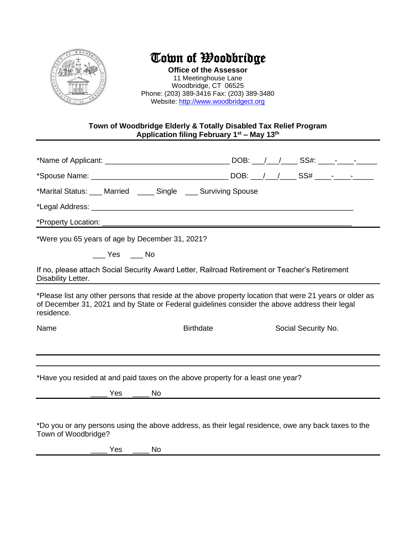

## Town of Woodbridge

**Office of the Assessor** 11 Meetinghouse Lane Woodbridge, CT 06525 Phone: (203) 389-3416 Fax: (203) 389-3480 Website: [http://www.woodbridgect.org](http://www.woodbridgect.org/)

## **Town of Woodbridge Elderly & Totally Disabled Tax Relief Program Application filing February 1st – May 13 th**

| *Marital Status: ___ Married ____ Single ___ Surviving Spouse<br>*Were you 65 years of age by December 31, 2021?<br>$Yes$ Mo<br>If no, please attach Social Security Award Letter, Railroad Retirement or Teacher's Retirement<br>*Please list any other persons that reside at the above property location that were 21 years or older as<br>of December 31, 2021 and by State or Federal guidelines consider the above address their legal<br><b>Birthdate</b><br>Social Security No.<br>*Have you resided at and paid taxes on the above property for a least one year?<br>*Do you or any persons using the above address, as their legal residence, owe any back taxes to the<br>Town of Woodbridge?<br><b>Yes</b><br>No. |                    |  |  |  |  |  |
|-------------------------------------------------------------------------------------------------------------------------------------------------------------------------------------------------------------------------------------------------------------------------------------------------------------------------------------------------------------------------------------------------------------------------------------------------------------------------------------------------------------------------------------------------------------------------------------------------------------------------------------------------------------------------------------------------------------------------------|--------------------|--|--|--|--|--|
|                                                                                                                                                                                                                                                                                                                                                                                                                                                                                                                                                                                                                                                                                                                               |                    |  |  |  |  |  |
|                                                                                                                                                                                                                                                                                                                                                                                                                                                                                                                                                                                                                                                                                                                               |                    |  |  |  |  |  |
|                                                                                                                                                                                                                                                                                                                                                                                                                                                                                                                                                                                                                                                                                                                               |                    |  |  |  |  |  |
|                                                                                                                                                                                                                                                                                                                                                                                                                                                                                                                                                                                                                                                                                                                               |                    |  |  |  |  |  |
|                                                                                                                                                                                                                                                                                                                                                                                                                                                                                                                                                                                                                                                                                                                               |                    |  |  |  |  |  |
|                                                                                                                                                                                                                                                                                                                                                                                                                                                                                                                                                                                                                                                                                                                               |                    |  |  |  |  |  |
|                                                                                                                                                                                                                                                                                                                                                                                                                                                                                                                                                                                                                                                                                                                               |                    |  |  |  |  |  |
|                                                                                                                                                                                                                                                                                                                                                                                                                                                                                                                                                                                                                                                                                                                               | Disability Letter. |  |  |  |  |  |
|                                                                                                                                                                                                                                                                                                                                                                                                                                                                                                                                                                                                                                                                                                                               | residence.         |  |  |  |  |  |
|                                                                                                                                                                                                                                                                                                                                                                                                                                                                                                                                                                                                                                                                                                                               | Name               |  |  |  |  |  |
|                                                                                                                                                                                                                                                                                                                                                                                                                                                                                                                                                                                                                                                                                                                               |                    |  |  |  |  |  |
|                                                                                                                                                                                                                                                                                                                                                                                                                                                                                                                                                                                                                                                                                                                               |                    |  |  |  |  |  |
|                                                                                                                                                                                                                                                                                                                                                                                                                                                                                                                                                                                                                                                                                                                               |                    |  |  |  |  |  |
|                                                                                                                                                                                                                                                                                                                                                                                                                                                                                                                                                                                                                                                                                                                               |                    |  |  |  |  |  |
|                                                                                                                                                                                                                                                                                                                                                                                                                                                                                                                                                                                                                                                                                                                               |                    |  |  |  |  |  |
|                                                                                                                                                                                                                                                                                                                                                                                                                                                                                                                                                                                                                                                                                                                               |                    |  |  |  |  |  |